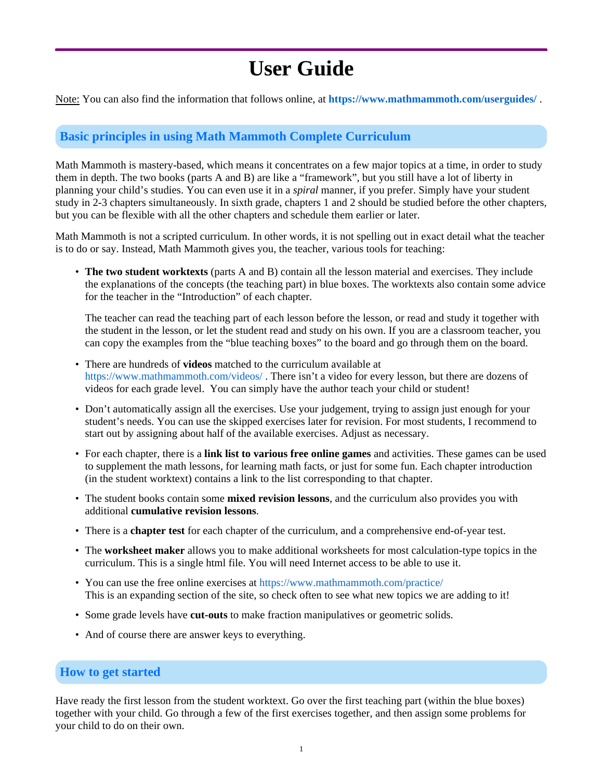# **User Guide**

Note: You can also find the information that follows online, at **https://www.mathmammoth.com/userguides/** .

## **Basic principles in using Math Mammoth Complete Curriculum**

Math Mammoth is mastery-based, which means it concentrates on a few major topics at a time, in order to study them in depth. The two books (parts A and B) are like a "framework", but you still have a lot of liberty in planning your child's studies. You can even use it in a *spiral* manner, if you prefer. Simply have your student study in 2-3 chapters simultaneously. In sixth grade, chapters 1 and 2 should be studied before the other chapters, but you can be flexible with all the other chapters and schedule them earlier or later.

Math Mammoth is not a scripted curriculum. In other words, it is not spelling out in exact detail what the teacher is to do or say. Instead, Math Mammoth gives you, the teacher, various tools for teaching:

• **The two student worktexts** (parts A and B) contain all the lesson material and exercises. They include the explanations of the concepts (the teaching part) in blue boxes. The worktexts also contain some advice for the teacher in the "Introduction" of each chapter.

The teacher can read the teaching part of each lesson before the lesson, or read and study it together with the student in the lesson, or let the student read and study on his own. If you are a classroom teacher, you can copy the examples from the "blue teaching boxes" to the board and go through them on the board.

- There are hundreds of **videos** matched to the curriculum available at https://www.mathmammoth.com/videos/. There isn't a video for every lesson, but there are dozens of videos for each grade level. You can simply have the author teach your child or student!
- Don't automatically assign all the exercises. Use your judgement, trying to assign just enough for your student's needs. You can use the skipped exercises later for revision. For most students, I recommend to start out by assigning about half of the available exercises. Adjust as necessary.
- For each chapter, there is a **link list to various free online games** and activities. These games can be used to supplement the math lessons, for learning math facts, or just for some fun. Each chapter introduction (in the student worktext) contains a link to the list corresponding to that chapter.
- The student books contain some **mixed revision lessons**, and the curriculum also provides you with additional **cumulative revision lessons**.
- There is a **chapter test** for each chapter of the curriculum, and a comprehensive end-of-year test.
- The **worksheet maker** allows you to make additional worksheets for most calculation-type topics in the curriculum. This is a single html file. You will need Internet access to be able to use it.
- You can use the free online exercises at https://www.mathmammoth.com/practice/ This is an expanding section of the site, so check often to see what new topics we are adding to it!
- Some grade levels have **cut-outs** to make fraction manipulatives or geometric solids.
- And of course there are answer keys to everything.

### **How to get started**

Have ready the first lesson from the student worktext. Go over the first teaching part (within the blue boxes) together with your child. Go through a few of the first exercises together, and then assign some problems for your child to do on their own.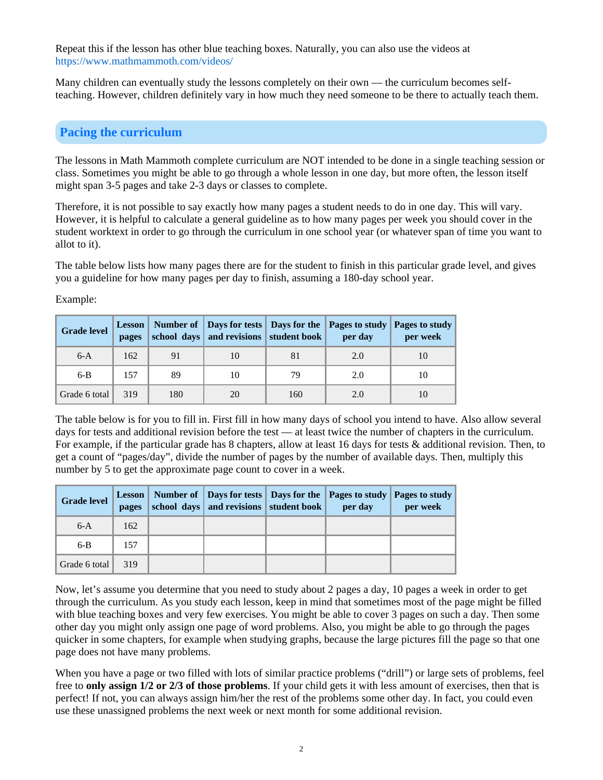Repeat this if the lesson has other blue teaching boxes. Naturally, you can also use the videos at https://www.mathmammoth.com/videos/

Many children can eventually study the lessons completely on their own — the curriculum becomes selfteaching. However, children definitely vary in how much they need someone to be there to actually teach them.

## **Pacing the curriculum**

The lessons in Math Mammoth complete curriculum are NOT intended to be done in a single teaching session or class. Sometimes you might be able to go through a whole lesson in one day, but more often, the lesson itself might span 3-5 pages and take 2-3 days or classes to complete.

Therefore, it is not possible to say exactly how many pages a student needs to do in one day. This will vary. However, it is helpful to calculate a general guideline as to how many pages per week you should cover in the student worktext in order to go through the curriculum in one school year (or whatever span of time you want to allot to it).

The table below lists how many pages there are for the student to finish in this particular grade level, and gives you a guideline for how many pages per day to finish, assuming a 180-day school year.

Example:

| <b>Grade level</b> | pages |     | school days and revisions student book |     | Lesson   Number of   Days for tests   Days for the   Pages to study   Pages to study<br>per day | per week |
|--------------------|-------|-----|----------------------------------------|-----|-------------------------------------------------------------------------------------------------|----------|
| $6-A$              | 162   | 91  |                                        | 81  | 2.0                                                                                             | 10       |
| $6-B$              | 157   | 89  | 10                                     | 79  | 2.0                                                                                             | 10       |
| Grade 6 total      | 319   | 180 | 20                                     | 160 | 2.0                                                                                             | 10       |

The table below is for you to fill in. First fill in how many days of school you intend to have. Also allow several days for tests and additional revision before the test — at least twice the number of chapters in the curriculum. For example, if the particular grade has 8 chapters, allow at least 16 days for tests & additional revision. Then, to get a count of "pages/day", divide the number of pages by the number of available days. Then, multiply this number by 5 to get the approximate page count to cover in a week.

| <b>Grade level</b> | pages | school days and revisions student book | Lesson   Number of   Days for tests   Days for the   Pages to study   Pages to study<br>per day | per week |
|--------------------|-------|----------------------------------------|-------------------------------------------------------------------------------------------------|----------|
| $6-A$              | 162   |                                        |                                                                                                 |          |
| $6-B$              | 157   |                                        |                                                                                                 |          |
| Grade 6 total      | 319   |                                        |                                                                                                 |          |

Now, let's assume you determine that you need to study about 2 pages a day, 10 pages a week in order to get through the curriculum. As you study each lesson, keep in mind that sometimes most of the page might be filled with blue teaching boxes and very few exercises. You might be able to cover 3 pages on such a day. Then some other day you might only assign one page of word problems. Also, you might be able to go through the pages quicker in some chapters, for example when studying graphs, because the large pictures fill the page so that one page does not have many problems.

When you have a page or two filled with lots of similar practice problems ("drill") or large sets of problems, feel free to **only assign 1/2 or 2/3 of those problems**. If your child gets it with less amount of exercises, then that is perfect! If not, you can always assign him/her the rest of the problems some other day. In fact, you could even use these unassigned problems the next week or next month for some additional revision.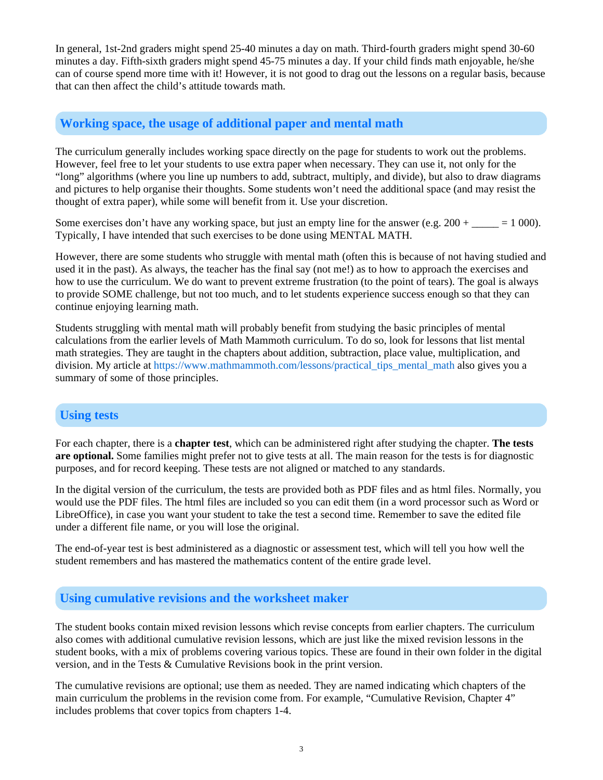In general, 1st-2nd graders might spend 25-40 minutes a day on math. Third-fourth graders might spend 30-60 minutes a day. Fifth-sixth graders might spend 45-75 minutes a day. If your child finds math enjoyable, he/she can of course spend more time with it! However, it is not good to drag out the lessons on a regular basis, because that can then affect the child's attitude towards math.

#### **Working space, the usage of additional paper and mental math**

The curriculum generally includes working space directly on the page for students to work out the problems. However, feel free to let your students to use extra paper when necessary. They can use it, not only for the "long" algorithms (where you line up numbers to add, subtract, multiply, and divide), but also to draw diagrams and pictures to help organise their thoughts. Some students won't need the additional space (and may resist the thought of extra paper), while some will benefit from it. Use your discretion.

Some exercises don't have any working space, but just an empty line for the answer (e.g.  $200 + \_\_\_\_\_ = 1\,000$ ). Typically, I have intended that such exercises to be done using MENTAL MATH.

However, there are some students who struggle with mental math (often this is because of not having studied and used it in the past). As always, the teacher has the final say (not me!) as to how to approach the exercises and how to use the curriculum. We do want to prevent extreme frustration (to the point of tears). The goal is always to provide SOME challenge, but not too much, and to let students experience success enough so that they can continue enjoying learning math.

Students struggling with mental math will probably benefit from studying the basic principles of mental calculations from the earlier levels of Math Mammoth curriculum. To do so, look for lessons that list mental math strategies. They are taught in the chapters about addition, subtraction, place value, multiplication, and division. My article at https://www.mathmammoth.com/lessons/practical\_tips\_mental\_math also gives you a summary of some of those principles.

#### **Using tests**

For each chapter, there is a **chapter test**, which can be administered right after studying the chapter. **The tests are optional.** Some families might prefer not to give tests at all. The main reason for the tests is for diagnostic purposes, and for record keeping. These tests are not aligned or matched to any standards.

In the digital version of the curriculum, the tests are provided both as PDF files and as html files. Normally, you would use the PDF files. The html files are included so you can edit them (in a word processor such as Word or LibreOffice), in case you want your student to take the test a second time. Remember to save the edited file under a different file name, or you will lose the original.

The end-of-year test is best administered as a diagnostic or assessment test, which will tell you how well the student remembers and has mastered the mathematics content of the entire grade level.

### **Using cumulative revisions and the worksheet maker**

The student books contain mixed revision lessons which revise concepts from earlier chapters. The curriculum also comes with additional cumulative revision lessons, which are just like the mixed revision lessons in the student books, with a mix of problems covering various topics. These are found in their own folder in the digital version, and in the Tests & Cumulative Revisions book in the print version.

The cumulative revisions are optional; use them as needed. They are named indicating which chapters of the main curriculum the problems in the revision come from. For example, "Cumulative Revision, Chapter 4" includes problems that cover topics from chapters 1-4.